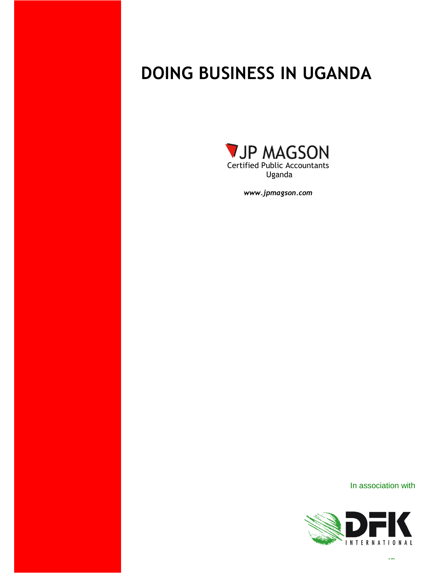# **DOING BUSINESS IN UGANDA**



*www.jpmagson.com*

# In association with

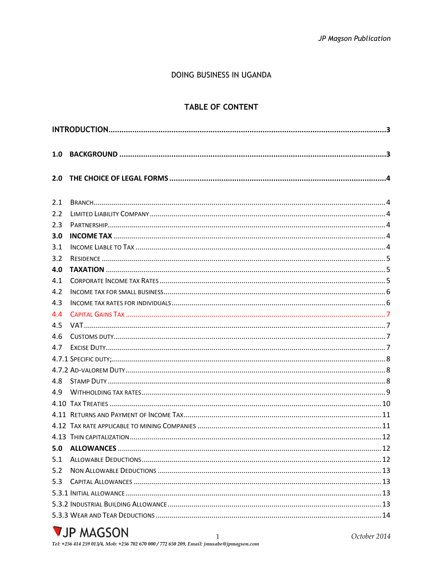# DOING BUSINESS IN UGANDA

# **TABLE OF CONTENT**

| 1.0 |  |  |  |
|-----|--|--|--|
| 2.0 |  |  |  |
| 2.1 |  |  |  |
| 2.2 |  |  |  |
| 2.3 |  |  |  |
| 3.0 |  |  |  |
| 3.1 |  |  |  |
| 3.2 |  |  |  |
| 4.0 |  |  |  |
| 4.1 |  |  |  |
| 4.2 |  |  |  |
| 4.3 |  |  |  |
| 4.4 |  |  |  |
| 4.5 |  |  |  |
| 4.6 |  |  |  |
| 4.7 |  |  |  |
|     |  |  |  |
|     |  |  |  |
| 4.8 |  |  |  |
| 4.9 |  |  |  |
|     |  |  |  |
|     |  |  |  |
|     |  |  |  |
|     |  |  |  |
|     |  |  |  |
| 5.1 |  |  |  |
| 5.2 |  |  |  |
| 5.3 |  |  |  |
|     |  |  |  |
|     |  |  |  |
|     |  |  |  |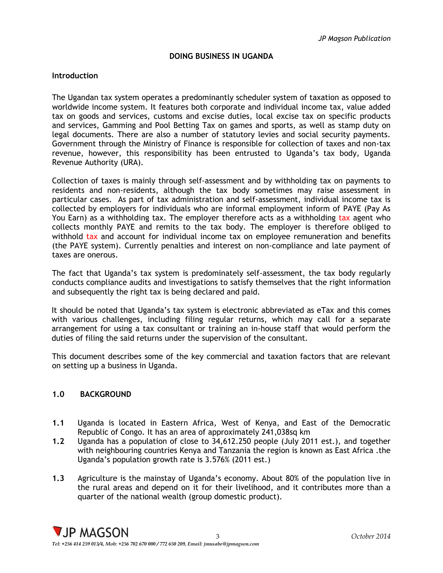# **DOING BUSINESS IN UGANDA**

# <span id="page-3-0"></span>**Introduction**

The Ugandan tax system operates a predominantly scheduler system of taxation as opposed to worldwide income system. It features both corporate and individual income tax, value added tax on goods and services, customs and excise duties, local excise tax on specific products and services, Gamming and Pool Betting Tax on games and sports, as well as stamp duty on legal documents. There are also a number of statutory levies and social security payments. Government through the Ministry of Finance is responsible for collection of taxes and non-tax revenue, however, this responsibility has been entrusted to Uganda's tax body, Uganda Revenue Authority (URA).

Collection of taxes is mainly through self-assessment and by withholding tax on payments to residents and non-residents, although the tax body sometimes may raise assessment in particular cases. As part of tax administration and self-assessment, individual income tax is collected by employers for individuals who are informal employment inform of PAYE (Pay As You Earn) as a withholding tax. The employer therefore acts as a withholding tax agent who collects monthly PAYE and remits to the tax body. The employer is therefore obliged to withhold tax and account for individual income tax on employee remuneration and benefits (the PAYE system). Currently penalties and interest on non-compliance and late payment of taxes are onerous.

The fact that Uganda's tax system is predominately self-assessment, the tax body regularly conducts compliance audits and investigations to satisfy themselves that the right information and subsequently the right tax is being declared and paid.

It should be noted that Uganda's tax system is electronic abbreviated as eTax and this comes with various challenges, including filing regular returns, which may call for a separate arrangement for using a tax consultant or training an in-house staff that would perform the duties of filing the said returns under the supervision of the consultant.

This document describes some of the key commercial and taxation factors that are relevant on setting up a business in Uganda.

# <span id="page-3-1"></span>**1.0 BACKGROUND**

- **1.1** Uganda is located in Eastern Africa, West of Kenya, and East of the Democratic Republic of Congo. It has an area of approximately 241,038sq km
- **1.2** Uganda has a population of close to 34,612.250 people (July 2011 est.), and together with neighbouring countries Kenya and Tanzania the region is known as East Africa .the Uganda's population growth rate is 3.576% (2011 est.)
- **1.3** Agriculture is the mainstay of Uganda's economy. About 80% of the population live in the rural areas and depend on it for their livelihood, and it contributes more than a quarter of the national wealth (group domestic product).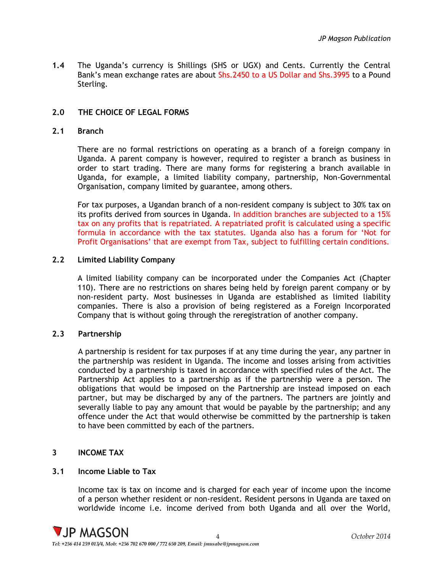<span id="page-4-0"></span>**1.4** The Uganda's currency is Shillings (SHS or UGX) and Cents. Currently the Central Bank's mean exchange rates are about Shs.2450 to a US Dollar and Shs.3995 to a Pound Sterling.

# **2.0 THE CHOICE OF LEGAL FORMS**

#### <span id="page-4-1"></span>**2.1 Branch**

There are no formal restrictions on operating as a branch of a foreign company in Uganda. A parent company is however, required to register a branch as business in order to start trading. There are many forms for registering a branch available in Uganda, for example, a limited liability company, partnership, Non-Governmental Organisation, company limited by guarantee, among others.

For tax purposes, a Ugandan branch of a non-resident company is subject to 30% tax on its profits derived from sources in Uganda. In addition branches are subjected to a 15% tax on any profits that is repatriated. A repatriated profit is calculated using a specific formula in accordance with the tax statutes. Uganda also has a forum for 'Not for Profit Organisations' that are exempt from Tax, subject to fulfilling certain conditions.

## <span id="page-4-2"></span>**2.2 Limited Liability Company**

A limited liability company can be incorporated under the Companies Act (Chapter 110). There are no restrictions on shares being held by foreign parent company or by non-resident party. Most businesses in Uganda are established as limited liability companies. There is also a provision of being registered as a Foreign Incorporated Company that is without going through the reregistration of another company.

#### <span id="page-4-3"></span>**2.3 Partnership**

A partnership is resident for tax purposes if at any time during the year, any partner in the partnership was resident in Uganda. The income and losses arising from activities conducted by a partnership is taxed in accordance with specified rules of the Act. The Partnership Act applies to a partnership as if the partnership were a person. The obligations that would be imposed on the Partnership are instead imposed on each partner, but may be discharged by any of the partners. The partners are jointly and severally liable to pay any amount that would be payable by the partnership; and any offence under the Act that would otherwise be committed by the partnership is taken to have been committed by each of the partners.

#### <span id="page-4-4"></span>**3 INCOME TAX**

#### <span id="page-4-5"></span>**3.1 Income Liable to Tax**

Income tax is tax on income and is charged for each year of income upon the income of a person whether resident or non-resident. Resident persons in Uganda are taxed on worldwide income i.e. income derived from both Uganda and all over the World,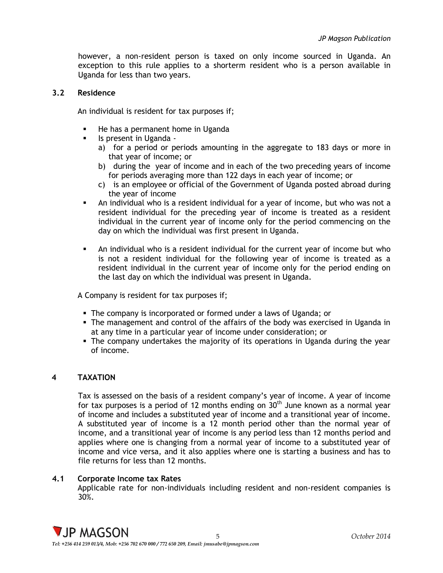however, a non-resident person is taxed on only income sourced in Uganda. An exception to this rule applies to a shorterm resident who is a person available in Uganda for less than two years.

#### <span id="page-5-0"></span>**3.2 Residence**

An individual is resident for tax purposes if;

- **He has a permanent home in Uganda**
- Is present in Uganda
	- a) for a period or periods amounting in the aggregate to 183 days or more in that year of income; or
	- b) during the year of income and in each of the two preceding years of income for periods averaging more than 122 days in each year of income; or
	- c) is an employee or official of the Government of Uganda posted abroad during the year of income
- An individual who is a resident individual for a year of income, but who was not a resident individual for the preceding year of income is treated as a resident individual in the current year of income only for the period commencing on the day on which the individual was first present in Uganda.
- An individual who is a resident individual for the current year of income but who is not a resident individual for the following year of income is treated as a resident individual in the current year of income only for the period ending on the last day on which the individual was present in Uganda.

A Company is resident for tax purposes if;

- The company is incorporated or formed under a laws of Uganda; or
- The management and control of the affairs of the body was exercised in Uganda in at any time in a particular year of income under consideration; or
- The company undertakes the majority of its operations in Uganda during the year of income.

#### <span id="page-5-1"></span>**4 TAXATION**

Tax is assessed on the basis of a resident company's year of income. A year of income for tax purposes is a period of 12 months ending on  $30<sup>th</sup>$  June known as a normal year of income and includes a substituted year of income and a transitional year of income. A substituted year of income is a 12 month period other than the normal year of income, and a transitional year of income is any period less than 12 months period and applies where one is changing from a normal year of income to a substituted year of income and vice versa, and it also applies where one is starting a business and has to file returns for less than 12 months.

#### <span id="page-5-2"></span>**4.1 Corporate Income tax Rates**

Applicable rate for non-individuals including resident and non-resident companies is 30%.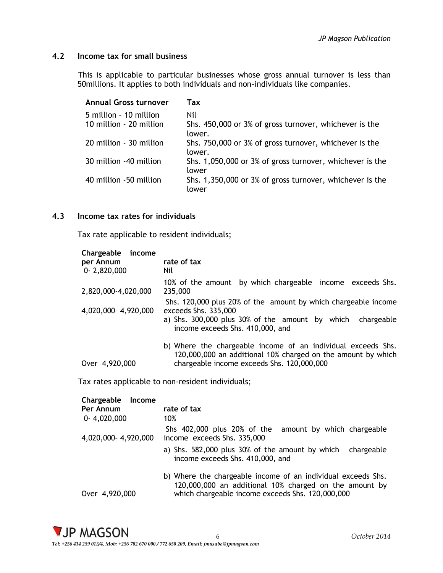# <span id="page-6-0"></span>**4.2 Income tax for small business**

This is applicable to particular businesses whose gross annual turnover is less than 50millions. It applies to both individuals and non-individuals like companies.

| Annual Gross turnover   | Tax                                                               |
|-------------------------|-------------------------------------------------------------------|
| 5 million - 10 million  | Nil                                                               |
| 10 million - 20 million | Shs. 450,000 or 3% of gross turnover, whichever is the<br>lower.  |
| 20 million - 30 million | Shs. 750,000 or 3% of gross turnover, whichever is the<br>lower.  |
| 30 million -40 million  | Shs. 1,050,000 or 3% of gross turnover, whichever is the<br>lower |
| 40 million -50 million  | Shs. 1,350,000 or 3% of gross turnover, whichever is the<br>lower |

# <span id="page-6-1"></span>**4.3 Income tax rates for individuals**

Tax rate applicable to resident individuals;

| Chargeable<br>income<br>per Annum | rate of tax                                                                                                                  |
|-----------------------------------|------------------------------------------------------------------------------------------------------------------------------|
| $0 - 2,820,000$                   | Nil                                                                                                                          |
| 2,820,000-4,020,000               | 10% of the amount by which chargeable income exceeds Shs.<br>235,000                                                         |
| 4,020,000-4,920,000               | Shs. 120,000 plus 20% of the amount by which chargeable income<br>exceeds Shs. 335,000                                       |
|                                   | a) Shs. 300,000 plus 30% of the amount by which chargeable<br>income exceeds Shs. 410,000, and                               |
|                                   | b) Where the chargeable income of an individual exceeds Shs.<br>120,000,000 an additional 10% charged on the amount by which |
| Over 4,920,000                    | chargeable income exceeds Shs. 120,000,000                                                                                   |

Tax rates applicable to non-resident individuals;

| Chargeable<br>Income |                                                                                                                                                                            |
|----------------------|----------------------------------------------------------------------------------------------------------------------------------------------------------------------------|
| Per Annum            | rate of tax                                                                                                                                                                |
| $0-4,020,000$        | 10%                                                                                                                                                                        |
| 4,020,000-4,920,000  | Shs 402,000 plus 20% of the<br>amount by which chargeable<br>income exceeds Shs. 335,000                                                                                   |
|                      | a) Shs. 582,000 plus 30% of the amount by which<br>chargeable<br>income exceeds Shs. 410,000, and                                                                          |
| Over 4,920,000       | b) Where the chargeable income of an individual exceeds Shs.<br>120,000,000 an additional 10% charged on the amount by<br>which chargeable income exceeds Shs. 120,000,000 |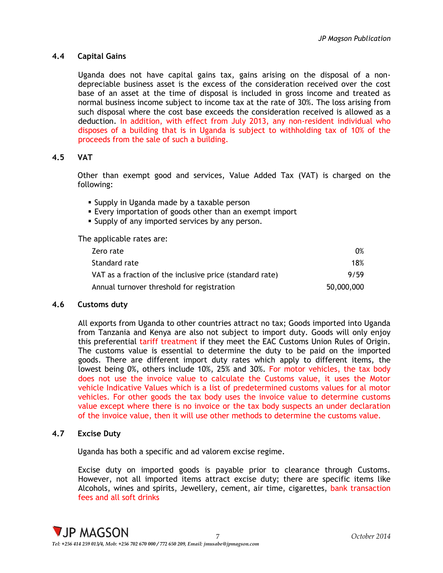# <span id="page-7-0"></span>**4.4 Capital Gains**

Uganda does not have capital gains tax, gains arising on the disposal of a nondepreciable business asset is the excess of the consideration received over the cost base of an asset at the time of disposal is included in gross income and treated as normal business income subject to income tax at the rate of 30%. The loss arising from such disposal where the cost base exceeds the consideration received is allowed as a deduction. In addition, with effect from July 2013, any non-resident individual who disposes of a building that is in Uganda is subject to withholding tax of 10% of the proceeds from the sale of such a building.

# <span id="page-7-1"></span>**4.5 VAT**

Other than exempt good and services, Value Added Tax (VAT) is charged on the following:

- **Supply in Uganda made by a taxable person**
- Every importation of goods other than an exempt import
- **Supply of any imported services by any person.**

The applicable rates are:

| Zero rate                                                | $0\%$      |
|----------------------------------------------------------|------------|
| Standard rate                                            | 18%        |
| VAT as a fraction of the inclusive price (standard rate) | 9/59       |
| Annual turnover threshold for registration               | 50,000,000 |

# <span id="page-7-2"></span>**4.6 Customs duty**

All exports from Uganda to other countries attract no tax; Goods imported into Uganda from Tanzania and Kenya are also not subject to import duty. Goods will only enjoy this preferential tariff treatment if they meet the EAC Customs Union Rules of Origin. The customs value is essential to determine the duty to be paid on the imported goods. There are different import duty rates which apply to different items, the lowest being 0%, others include 10%, 25% and 30%. For motor vehicles, the tax body does not use the invoice value to calculate the Customs value, it uses the Motor vehicle Indicative Values which is a list of predetermined customs values for al motor vehicles. For other goods the tax body uses the invoice value to determine customs value except where there is no invoice or the tax body suspects an under declaration of the invoice value, then it will use other methods to determine the customs value.

# <span id="page-7-3"></span>**4.7 Excise Duty**

Uganda has both a specific and ad valorem excise regime.

Excise duty on imported goods is payable prior to clearance through Customs. However, not all imported items attract excise duty; there are specific items like Alcohols, wines and spirits, Jewellery, cement, air time, cigarettes, bank transaction fees and all soft drinks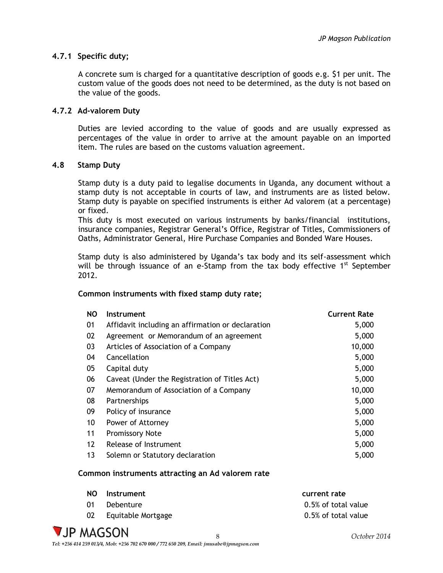# <span id="page-8-0"></span>**4.7.1 Specific duty;**

A concrete sum is charged for a quantitative description of goods e.g. \$1 per unit. The custom value of the goods does not need to be determined, as the duty is not based on the value of the goods.

# <span id="page-8-1"></span>**4.7.2 Ad-valorem Duty**

Duties are levied according to the value of goods and are usually expressed as percentages of the value in order to arrive at the amount payable on an imported item. The rules are based on the customs valuation agreement.

# <span id="page-8-2"></span>**4.8 Stamp Duty**

Stamp duty is a duty paid to legalise documents in Uganda, any document without a stamp duty is not acceptable in courts of law, and instruments are as listed below. Stamp duty is payable on specified instruments is either Ad valorem (at a percentage) or fixed.

This duty is most executed on various instruments by banks/financial institutions, insurance companies, Registrar General's Office, Registrar of Titles, Commissioners of Oaths, Administrator General, Hire Purchase Companies and Bonded Ware Houses.

Stamp duty is also administered by Uganda's tax body and its self-assessment which will be through issuance of an e-Stamp from the tax body effective  $1<sup>st</sup>$  September 2012.

#### **Common instruments with fixed stamp duty rate;**

| <b>NO</b> | Instrument                                        | <b>Current Rate</b> |
|-----------|---------------------------------------------------|---------------------|
| 01        | Affidavit including an affirmation or declaration | 5,000               |
| 02        | Agreement or Memorandum of an agreement           | 5,000               |
| 03        | Articles of Association of a Company              | 10,000              |
| 04        | Cancellation                                      | 5,000               |
| 05        | Capital duty                                      | 5,000               |
| 06        | Caveat (Under the Registration of Titles Act)     | 5,000               |
| 07        | Memorandum of Association of a Company            | 10,000              |
| 08        | Partnerships                                      | 5,000               |
| 09        | Policy of insurance                               | 5,000               |
| 10        | Power of Attorney                                 | 5,000               |
| 11        | <b>Promissory Note</b>                            | 5,000               |
| 12        | Release of Instrument                             | 5,000               |
| 13        | Solemn or Statutory declaration                   | 5,000               |

#### **Common instruments attracting an Ad valorem rate**

| NO. | Instrument         | current rate        |
|-----|--------------------|---------------------|
|     | Debenture          | 0.5% of total value |
|     | Equitable Mortgage | 0.5% of total value |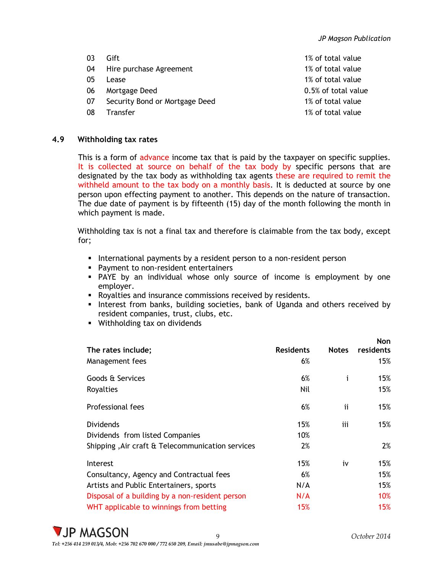- 
- 04 Hire purchase Agreement 1% of total value
- 
- 06 Mortgage Deed 2006 2006 2012 10:00:00 0.5% of total value
- 07 Security Bond or Mortgage Deed 1% of total value
- 08 Transfer 1% of total value
- 03 Gift 1% of total value 05 Lease 1% of total value

# <span id="page-9-0"></span>**4.9 Withholding tax rates**

This is a form of advance income tax that is paid by the taxpayer on specific supplies. It is collected at source on behalf of the tax body by specific persons that are designated by the tax body as withholding tax agents these are required to remit the withheld amount to the tax body on a monthly basis. It is deducted at source by one person upon effecting payment to another. This depends on the nature of transaction. The due date of payment is by fifteenth (15) day of the month following the month in which payment is made.

Withholding tax is not a final tax and therefore is claimable from the tax body, except for;

- **International payments by a resident person to a non-resident person**
- **Payment to non-resident entertainers**
- PAYE by an individual whose only source of income is employment by one employer.
- Royalties and insurance commissions received by residents.
- Interest from banks, building societies, bank of Uganda and others received by resident companies, trust, clubs, etc.
- **Withholding tax on dividends**

|                                                  |                  |              | <b>Non</b> |
|--------------------------------------------------|------------------|--------------|------------|
| The rates include;                               | <b>Residents</b> | <b>Notes</b> | residents  |
| Management fees                                  | 6%               |              | 15%        |
| Goods & Services                                 | 6%               | i            | 15%        |
| Royalties                                        | Nil              |              | 15%        |
| Professional fees                                | 6%               | ij           | 15%        |
| <b>Dividends</b>                                 | 15%              | iii          | 15%        |
| Dividends from listed Companies                  | 10%              |              |            |
| Shipping, Air craft & Telecommunication services | 2%               |              | 2%         |
| Interest                                         | 15%              | i٧           | 15%        |
| Consultancy, Agency and Contractual fees         | 6%               |              | 15%        |
| Artists and Public Entertainers, sports          | N/A              |              | 15%        |
| Disposal of a building by a non-resident person  | N/A              |              | 10%        |
| WHT applicable to winnings from betting          | 15%              |              | 15%        |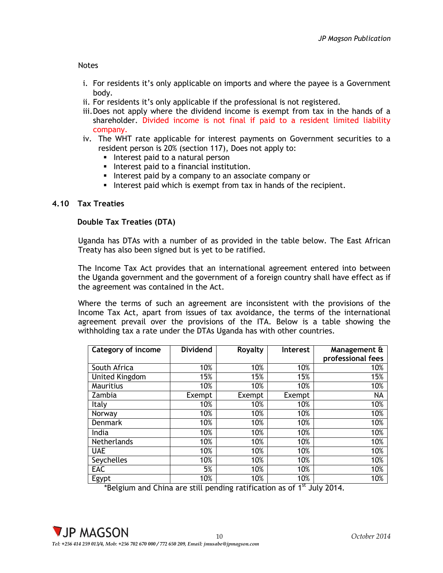#### Notes

- i. For residents it's only applicable on imports and where the payee is a Government body.
- ii. For residents it's only applicable if the professional is not registered.
- iii.Does not apply where the dividend income is exempt from tax in the hands of a shareholder. Divided income is not final if paid to a resident limited liability company.
- iv. The WHT rate applicable for interest payments on Government securities to a resident person is 20% (section 117), Does not apply to:
	- Interest paid to a natural person
	- **Interest paid to a financial institution.**
	- **Interest paid by a company to an associate company or**
	- Interest paid which is exempt from tax in hands of the recipient.

### <span id="page-10-0"></span>**4.10 Tax Treaties**

#### **Double Tax Treaties (DTA)**

Uganda has DTAs with a number of as provided in the table below. The East African Treaty has also been signed but is yet to be ratified.

The Income Tax Act provides that an international agreement entered into between the Uganda government and the government of a foreign country shall have effect as if the agreement was contained in the Act.

Where the terms of such an agreement are inconsistent with the provisions of the Income Tax Act, apart from issues of tax avoidance, the terms of the international agreement prevail over the provisions of the ITA. Below is a table showing the withholding tax a rate under the DTAs Uganda has with other countries.

| <b>Category of income</b> | <b>Dividend</b> | Royalty | <b>Interest</b> | Management &<br>professional fees |
|---------------------------|-----------------|---------|-----------------|-----------------------------------|
| South Africa              | 10%             | 10%     | 10%             | 10%                               |
| <b>United Kingdom</b>     | 15%             | 15%     | 15%             | 15%                               |
| Mauritius                 | 10%             | 10%     | 10%             | 10%                               |
| Zambia                    | Exempt          | Exempt  | Exempt          | <b>NA</b>                         |
| Italy                     | 10%             | 10%     | 10%             | 10%                               |
| Norway                    | 10%             | 10%     | 10%             | 10%                               |
| <b>Denmark</b>            | 10%             | 10%     | 10%             | 10%                               |
| India                     | 10%             | 10%     | 10%             | 10%                               |
| <b>Netherlands</b>        | 10%             | 10%     | 10%             | 10%                               |
| <b>UAE</b>                | 10%             | 10%     | 10%             | 10%                               |
| Seychelles                | 10%             | 10%     | 10%             | 10%                               |
| EAC                       | 5%              | 10%     | 10%             | 10%                               |
| Egypt                     | 10%             | 10%     | 10%             | 10%                               |

\*Belgium and China are still pending ratification as of 1<sup>st</sup> July 2014.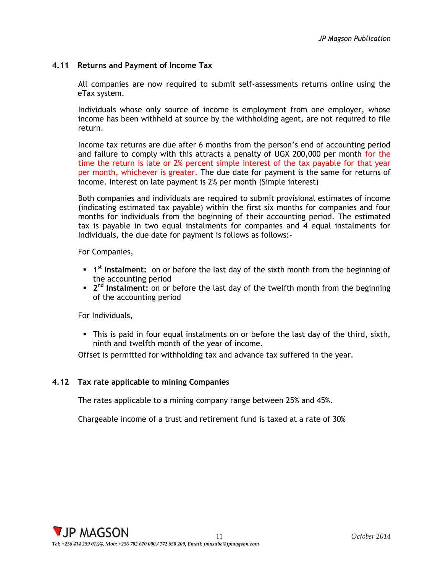# <span id="page-11-0"></span>**4.11 Returns and Payment of Income Tax**

All companies are now required to submit self-assessments returns online using the eTax system.

Individuals whose only source of income is employment from one employer, whose income has been withheld at source by the withholding agent, are not required to file return.

Income tax returns are due after 6 months from the person's end of accounting period and failure to comply with this attracts a penalty of UGX 200,000 per month for the time the return is late or 2% percent simple interest of the tax payable for that year per month, whichever is greater. The due date for payment is the same for returns of income. Interest on late payment is 2% per month (Simple interest)

Both companies and individuals are required to submit provisional estimates of income (indicating estimated tax payable) within the first six months for companies and four months for individuals from the beginning of their accounting period. The estimated tax is payable in two equal instalments for companies and 4 equal instalments for Individuals, the due date for payment is follows as follows:-

For Companies,

- **1 1**<sup>st</sup> Instalment: on or before the last day of the sixth month from the beginning of the accounting period
- **2<sup>nd</sup> Instalment:** on or before the last day of the twelfth month from the beginning of the accounting period

For Individuals,

 This is paid in four equal instalments on or before the last day of the third, sixth, ninth and twelfth month of the year of income.

Offset is permitted for withholding tax and advance tax suffered in the year.

#### <span id="page-11-1"></span>**4.12 Tax rate applicable to mining Companies**

The rates applicable to a mining company range between 25% and 45%.

Chargeable income of a trust and retirement fund is taxed at a rate of 30%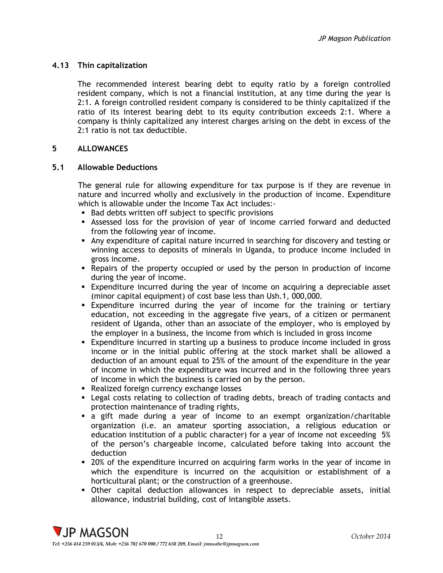# <span id="page-12-0"></span>**4.13 Thin capitalization**

The recommended interest bearing debt to equity ratio by a foreign controlled resident company, which is not a financial institution, at any time during the year is 2:1. A foreign controlled resident company is considered to be thinly capitalized if the ratio of its interest bearing debt to its equity contribution exceeds 2:1. Where a company is thinly capitalized any interest charges arising on the debt in excess of the 2:1 ratio is not tax deductible.

# <span id="page-12-1"></span>**5 ALLOWANCES**

#### <span id="page-12-2"></span>**5.1 Allowable Deductions**

The general rule for allowing expenditure for tax purpose is if they are revenue in nature and incurred wholly and exclusively in the production of income. Expenditure which is allowable under the Income Tax Act includes:-

- **Bad debts written off subject to specific provisions**
- Assessed loss for the provision of year of income carried forward and deducted from the following year of income.
- Any expenditure of capital nature incurred in searching for discovery and testing or winning access to deposits of minerals in Uganda, to produce income included in gross income.
- Repairs of the property occupied or used by the person in production of income during the year of income.
- Expenditure incurred during the year of income on acquiring a depreciable asset (minor capital equipment) of cost base less than Ush.1, 000,000.
- Expenditure incurred during the year of income for the training or tertiary education, not exceeding in the aggregate five years, of a citizen or permanent resident of Uganda, other than an associate of the employer, who is employed by the employer in a business, the income from which is included in gross income
- Expenditure incurred in starting up a business to produce income included in gross income or in the initial public offering at the stock market shall be allowed a deduction of an amount equal to 25% of the amount of the expenditure in the year of income in which the expenditure was incurred and in the following three years of income in which the business is carried on by the person.
- **Realized foreign currency exchange losses**
- Legal costs relating to collection of trading debts, breach of trading contacts and protection maintenance of trading rights,
- a gift made during a year of income to an exempt organization/charitable organization (i.e. an amateur sporting association, a religious education or education institution of a public character) for a year of income not exceeding 5% of the person's chargeable income, calculated before taking into account the deduction
- 20% of the expenditure incurred on acquiring farm works in the year of income in which the expenditure is incurred on the acquisition or establishment of a horticultural plant; or the construction of a greenhouse.
- Other capital deduction allowances in respect to depreciable assets, initial allowance, industrial building, cost of intangible assets.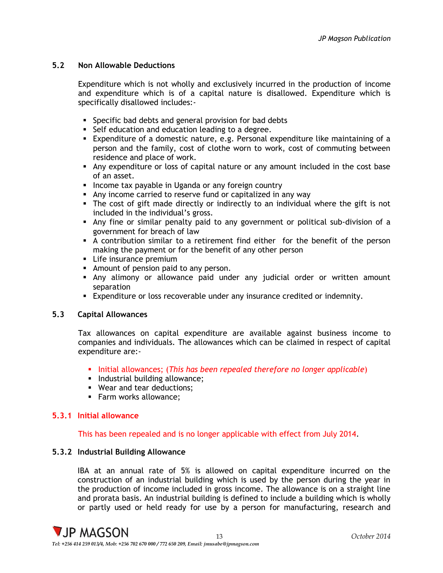# <span id="page-13-0"></span>**5.2 Non Allowable Deductions**

Expenditure which is not wholly and exclusively incurred in the production of income and expenditure which is of a capital nature is disallowed. Expenditure which is specifically disallowed includes:-

- **Specific bad debts and general provision for bad debts**
- Self education and education leading to a degree.
- Expenditure of a domestic nature, e.g. Personal expenditure like maintaining of a person and the family, cost of clothe worn to work, cost of commuting between residence and place of work.
- Any expenditure or loss of capital nature or any amount included in the cost base of an asset.
- **Income tax payable in Uganda or any foreign country**
- Any income carried to reserve fund or capitalized in any way
- The cost of gift made directly or indirectly to an individual where the gift is not included in the individual's gross.
- Any fine or similar penalty paid to any government or political sub-division of a government for breach of law
- A contribution similar to a retirement find either for the benefit of the person making the payment or for the benefit of any other person
- **Life insurance premium**
- Amount of pension paid to any person.
- Any alimony or allowance paid under any judicial order or written amount separation
- Expenditure or loss recoverable under any insurance credited or indemnity.

# <span id="page-13-1"></span>**5.3 Capital Allowances**

Tax allowances on capital expenditure are available against business income to companies and individuals. The allowances which can be claimed in respect of capital expenditure are:-

- Initial allowances; (*This has been repealed therefore no longer applicable*)
- **Industrial building allowance;**
- Wear and tear deductions;
- **Farm works allowance;**

#### <span id="page-13-2"></span>**5.3.1 Initial allowance**

#### This has been repealed and is no longer applicable with effect from July 2014.

#### <span id="page-13-3"></span>**5.3.2 Industrial Building Allowance**

IBA at an annual rate of 5% is allowed on capital expenditure incurred on the construction of an industrial building which is used by the person during the year in the production of income included in gross income. The allowance is on a straight line and prorata basis. An industrial building is defined to include a building which is wholly or partly used or held ready for use by a person for manufacturing, research and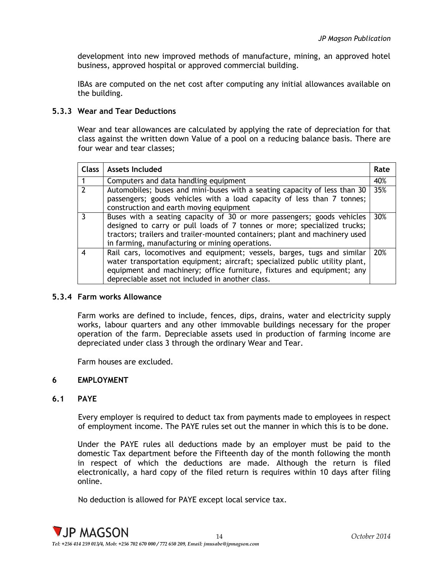development into new improved methods of manufacture, mining, an approved hotel business, approved hospital or approved commercial building.

IBAs are computed on the net cost after computing any initial allowances available on the building.

## <span id="page-14-0"></span>**5.3.3 Wear and Tear Deductions**

Wear and tear allowances are calculated by applying the rate of depreciation for that class against the written down Value of a pool on a reducing balance basis. There are four wear and tear classes;

| <b>Class</b>   | Assets Included                                                                                                                                                                                                                                                                      | Rate |
|----------------|--------------------------------------------------------------------------------------------------------------------------------------------------------------------------------------------------------------------------------------------------------------------------------------|------|
|                | Computers and data handling equipment                                                                                                                                                                                                                                                | 40%  |
| $\overline{2}$ | Automobiles; buses and mini-buses with a seating capacity of less than 30<br>passengers; goods vehicles with a load capacity of less than 7 tonnes;<br>construction and earth moving equipment                                                                                       | 35%  |
|                | Buses with a seating capacity of 30 or more passengers; goods vehicles<br>designed to carry or pull loads of 7 tonnes or more; specialized trucks;<br>tractors; trailers and trailer-mounted containers; plant and machinery used<br>in farming, manufacturing or mining operations. | 30%  |
|                | Rail cars, locomotives and equipment; vessels, barges, tugs and similar<br>water transportation equipment; aircraft; specialized public utility plant,<br>equipment and machinery; office furniture, fixtures and equipment; any<br>depreciable asset not included in another class. | 20%  |

#### <span id="page-14-1"></span>**5.3.4 Farm works Allowance**

Farm works are defined to include, fences, dips, drains, water and electricity supply works, labour quarters and any other immovable buildings necessary for the proper operation of the farm. Depreciable assets used in production of farming income are depreciated under class 3 through the ordinary Wear and Tear.

Farm houses are excluded.

# <span id="page-14-2"></span>**6 EMPLOYMENT**

# <span id="page-14-3"></span>**6.1 PAYE**

Every employer is required to deduct tax from payments made to employees in respect of employment income. The PAYE rules set out the manner in which this is to be done.

Under the PAYE rules all deductions made by an employer must be paid to the domestic Tax department before the Fifteenth day of the month following the month in respect of which the deductions are made. Although the return is filed electronically, a hard copy of the filed return is requires within 10 days after filing online.

No deduction is allowed for PAYE except local service tax.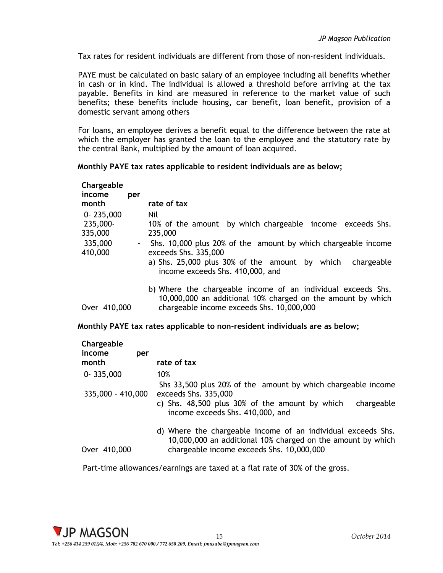Tax rates for resident individuals are different from those of non-resident individuals.

PAYE must be calculated on basic salary of an employee including all benefits whether in cash or in kind. The individual is allowed a threshold before arriving at the tax payable. Benefits in kind are measured in reference to the market value of such benefits; these benefits include housing, car benefit, loan benefit, provision of a domestic servant among others

For loans, an employee derives a benefit equal to the difference between the rate at which the employer has granted the loan to the employee and the statutory rate by the central Bank, multiplied by the amount of loan acquired.

#### **Monthly PAYE tax rates applicable to resident individuals are as below;**

| Chargeable<br>income<br>month | per    | rate of tax                                                                                                                                                              |
|-------------------------------|--------|--------------------------------------------------------------------------------------------------------------------------------------------------------------------------|
| $0 - 235,000$                 |        | Nil                                                                                                                                                                      |
| 235,000-                      |        | 10% of the amount by which chargeable income exceeds Shs.                                                                                                                |
| 335,000                       |        | 235,000                                                                                                                                                                  |
| 335,000<br>410,000            | $\sim$ | Shs. 10,000 plus 20% of the amount by which chargeable income<br>exceeds Shs. 335,000                                                                                    |
|                               |        | a) Shs. $25,000$ plus $30\%$ of the amount by which<br>chargeable<br>income exceeds Shs. 410,000, and                                                                    |
| Over 410,000                  |        | b) Where the chargeable income of an individual exceeds Shs.<br>10,000,000 an additional 10% charged on the amount by which<br>chargeable income exceeds Shs. 10,000,000 |

#### **Monthly PAYE tax rates applicable to non-resident individuals are as below;**

| Chargeable<br>income<br>month | per | rate of tax                                                                                                                                                                              |
|-------------------------------|-----|------------------------------------------------------------------------------------------------------------------------------------------------------------------------------------------|
| $0 - 335,000$                 |     | 10%                                                                                                                                                                                      |
| 335,000 - 410,000             |     | Shs 33,500 plus 20% of the amount by which chargeable income<br>exceeds Shs. 335,000<br>c) Shs. 48,500 plus 30% of the amount by which<br>chargeable<br>income exceeds Shs. 410,000, and |
| Over 410,000                  |     | d) Where the chargeable income of an individual exceeds Shs.<br>10,000,000 an additional 10% charged on the amount by which<br>chargeable income exceeds Shs. 10,000,000                 |

<span id="page-15-0"></span>Part-time allowances/earnings are taxed at a flat rate of 30% of the gross.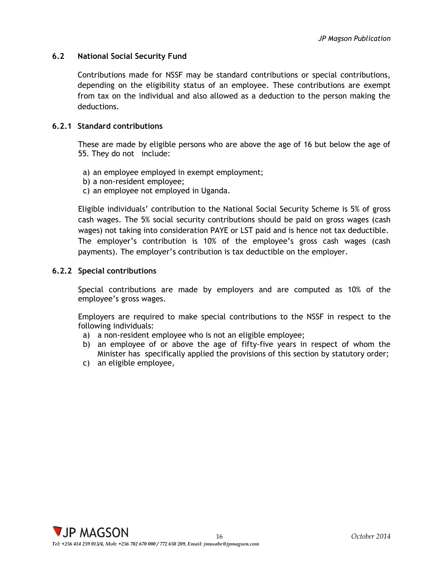# **6.2 National Social Security Fund**

Contributions made for NSSF may be standard contributions or special contributions, depending on the eligibility status of an employee. These contributions are exempt from tax on the individual and also allowed as a deduction to the person making the deductions.

# <span id="page-16-0"></span>**6.2.1 Standard contributions**

These are made by eligible persons who are above the age of 16 but below the age of 55. They do not include:

- a) an employee employed in exempt employment;
- b) a non-resident employee;
- c) an employee not employed in Uganda.

Eligible individuals' contribution to the National Social Security Scheme is 5% of gross cash wages. The 5% social security contributions should be paid on gross wages (cash wages) not taking into consideration PAYE or LST paid and is hence not tax deductible. The employer's contribution is 10% of the employee's gross cash wages (cash payments). The employer's contribution is tax deductible on the employer.

# <span id="page-16-1"></span>**6.2.2 Special contributions**

Special contributions are made by employers and are computed as 10% of the employee's gross wages.

Employers are required to make special contributions to the NSSF in respect to the following individuals:

- a) a non-resident employee who is not an eligible employee;
- b) an employee of or above the age of fifty-five years in respect of whom the Minister has specifically applied the provisions of this section by statutory order;
- c) an eligible employee,